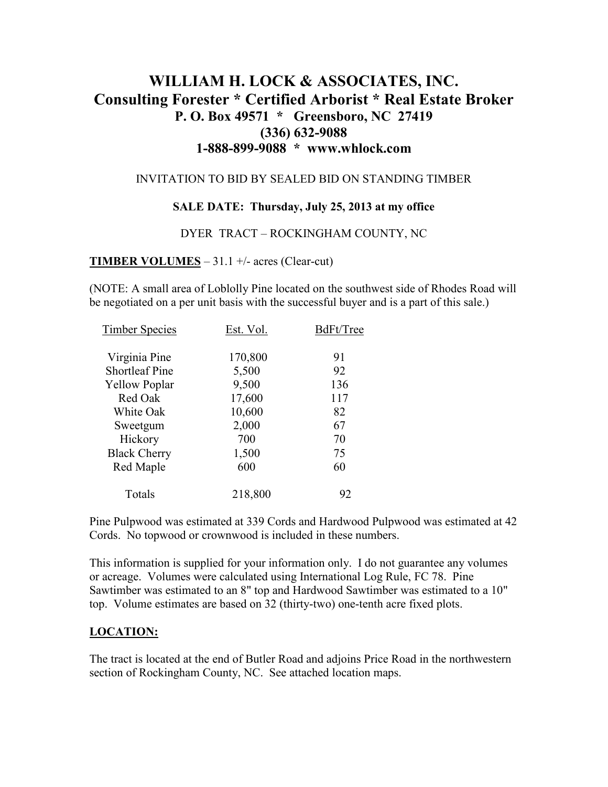# **WILLIAM H. LOCK & ASSOCIATES, INC. Consulting Forester \* Certified Arborist \* Real Estate Broker P. O. Box 49571 \* Greensboro, NC 27419 (336) 632-9088 1-888-899-9088 \* www.whlock.com**

#### INVITATION TO BID BY SEALED BID ON STANDING TIMBER

### **SALE DATE: Thursday, July 25, 2013 at my office**

#### DYER TRACT – ROCKINGHAM COUNTY, NC

#### **TIMBER VOLUMES** – 31.1 +/- acres (Clear-cut)

(NOTE: A small area of Loblolly Pine located on the southwest side of Rhodes Road will be negotiated on a per unit basis with the successful buyer and is a part of this sale.)

| <b>Timber Species</b> | Est. Vol. | BdFt/Tree |
|-----------------------|-----------|-----------|
| Virginia Pine         | 170,800   | 91        |
| <b>Shortleaf Pine</b> | 5,500     | 92        |
| <b>Yellow Poplar</b>  | 9,500     | 136       |
| Red Oak               | 17,600    | 117       |
| White Oak             | 10,600    | 82        |
| Sweetgum              | 2,000     | 67        |
| Hickory               | 700       | 70        |
| <b>Black Cherry</b>   | 1,500     | 75        |
| Red Maple             | 600       | 60        |
| Totals                | 218,800   | 92        |

Pine Pulpwood was estimated at 339 Cords and Hardwood Pulpwood was estimated at 42 Cords. No topwood or crownwood is included in these numbers.

This information is supplied for your information only. I do not guarantee any volumes or acreage. Volumes were calculated using International Log Rule, FC 78. Pine Sawtimber was estimated to an 8" top and Hardwood Sawtimber was estimated to a 10" top. Volume estimates are based on 32 (thirty-two) one-tenth acre fixed plots.

### **LOCATION:**

The tract is located at the end of Butler Road and adjoins Price Road in the northwestern section of Rockingham County, NC. See attached location maps.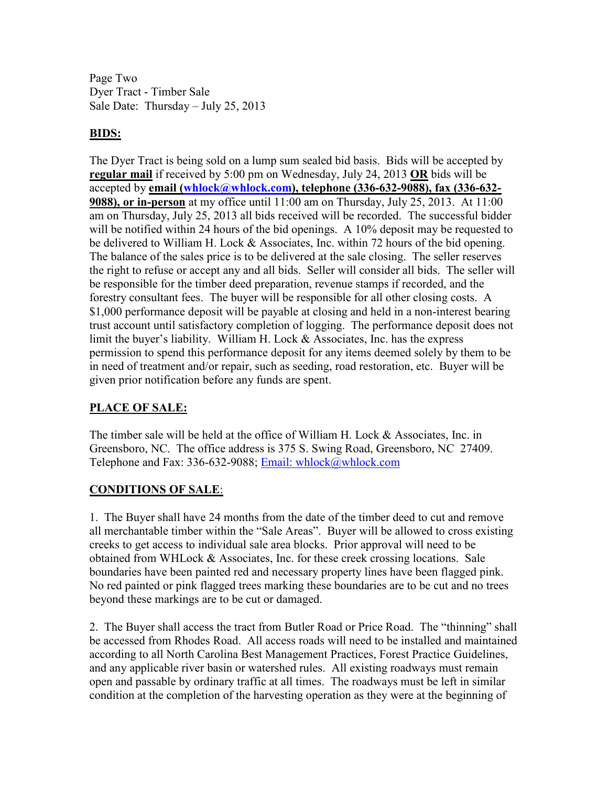Page Two Dyer Tract - Timber Sale Sale Date: Thursday – July 25, 2013

# **BIDS:**

The Dyer Tract is being sold on a lump sum sealed bid basis. Bids will be accepted by **regular mail** if received by 5:00 pm on Wednesday, July 24, 2013 **OR** bids will be accepted by **email (whlock@whlock.com), telephone (336-632-9088), fax (336-632- 9088), or in-person** at my office until 11:00 am on Thursday, July 25, 2013. At 11:00 am on Thursday, July 25, 2013 all bids received will be recorded. The successful bidder will be notified within 24 hours of the bid openings. A 10% deposit may be requested to be delivered to William H. Lock & Associates, Inc. within 72 hours of the bid opening. The balance of the sales price is to be delivered at the sale closing. The seller reserves the right to refuse or accept any and all bids. Seller will consider all bids. The seller will be responsible for the timber deed preparation, revenue stamps if recorded, and the forestry consultant fees. The buyer will be responsible for all other closing costs. A \$1,000 performance deposit will be payable at closing and held in a non-interest bearing trust account until satisfactory completion of logging. The performance deposit does not limit the buyer's liability. William H. Lock & Associates, Inc. has the express permission to spend this performance deposit for any items deemed solely by them to be in need of treatment and/or repair, such as seeding, road restoration, etc. Buyer will be given prior notification before any funds are spent.

## **PLACE OF SALE:**

The timber sale will be held at the office of William H. Lock & Associates, Inc. in Greensboro, NC. The office address is 375 S. Swing Road, Greensboro, NC 27409. Telephone and Fax: 336-632-9088; Email: whlock@whlock.com

## **CONDITIONS OF SALE**:

1. The Buyer shall have 24 months from the date of the timber deed to cut and remove all merchantable timber within the "Sale Areas". Buyer will be allowed to cross existing creeks to get access to individual sale area blocks. Prior approval will need to be obtained from WHLock & Associates, Inc. for these creek crossing locations. Sale boundaries have been painted red and necessary property lines have been flagged pink. No red painted or pink flagged trees marking these boundaries are to be cut and no trees beyond these markings are to be cut or damaged.

2. The Buyer shall access the tract from Butler Road or Price Road. The "thinning" shall be accessed from Rhodes Road. All access roads will need to be installed and maintained according to all North Carolina Best Management Practices, Forest Practice Guidelines, and any applicable river basin or watershed rules. All existing roadways must remain open and passable by ordinary traffic at all times. The roadways must be left in similar condition at the completion of the harvesting operation as they were at the beginning of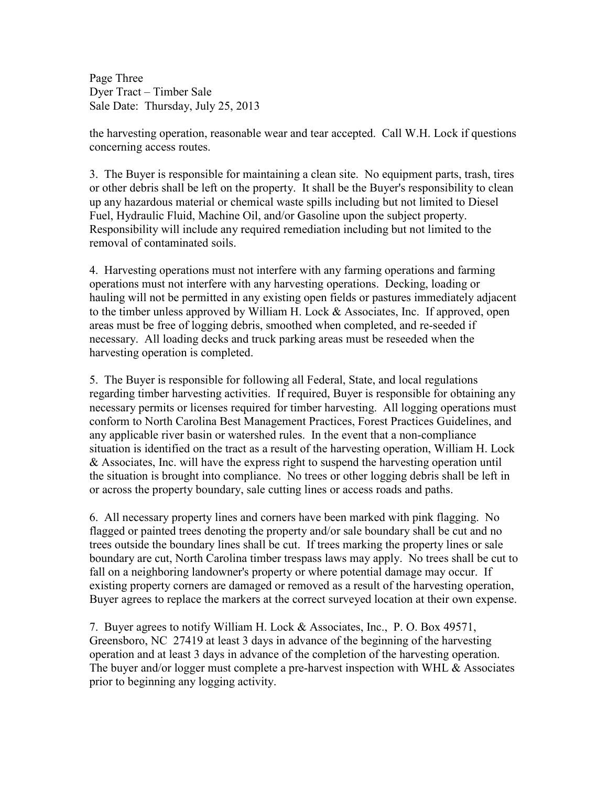Page Three Dyer Tract – Timber Sale Sale Date: Thursday, July 25, 2013

the harvesting operation, reasonable wear and tear accepted. Call W.H. Lock if questions concerning access routes.

3. The Buyer is responsible for maintaining a clean site. No equipment parts, trash, tires or other debris shall be left on the property. It shall be the Buyer's responsibility to clean up any hazardous material or chemical waste spills including but not limited to Diesel Fuel, Hydraulic Fluid, Machine Oil, and/or Gasoline upon the subject property. Responsibility will include any required remediation including but not limited to the removal of contaminated soils.

4. Harvesting operations must not interfere with any farming operations and farming operations must not interfere with any harvesting operations. Decking, loading or hauling will not be permitted in any existing open fields or pastures immediately adjacent to the timber unless approved by William H. Lock & Associates, Inc. If approved, open areas must be free of logging debris, smoothed when completed, and re-seeded if necessary. All loading decks and truck parking areas must be reseeded when the harvesting operation is completed.

5. The Buyer is responsible for following all Federal, State, and local regulations regarding timber harvesting activities. If required, Buyer is responsible for obtaining any necessary permits or licenses required for timber harvesting. All logging operations must conform to North Carolina Best Management Practices, Forest Practices Guidelines, and any applicable river basin or watershed rules. In the event that a non-compliance situation is identified on the tract as a result of the harvesting operation, William H. Lock & Associates, Inc. will have the express right to suspend the harvesting operation until the situation is brought into compliance. No trees or other logging debris shall be left in or across the property boundary, sale cutting lines or access roads and paths.

6. All necessary property lines and corners have been marked with pink flagging. No flagged or painted trees denoting the property and/or sale boundary shall be cut and no trees outside the boundary lines shall be cut. If trees marking the property lines or sale boundary are cut, North Carolina timber trespass laws may apply. No trees shall be cut to fall on a neighboring landowner's property or where potential damage may occur. If existing property corners are damaged or removed as a result of the harvesting operation, Buyer agrees to replace the markers at the correct surveyed location at their own expense.

7. Buyer agrees to notify William H. Lock & Associates, Inc., P. O. Box 49571, Greensboro, NC 27419 at least 3 days in advance of the beginning of the harvesting operation and at least 3 days in advance of the completion of the harvesting operation. The buyer and/or logger must complete a pre-harvest inspection with WHL & Associates prior to beginning any logging activity.